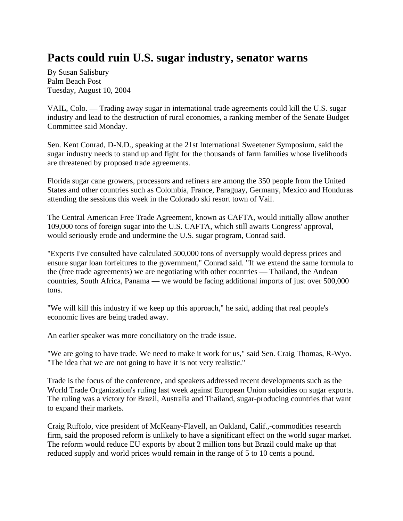## **Pacts could ruin U.S. sugar industry, senator warns**

By Susan Salisbury Palm Beach Post Tuesday, August 10, 2004

VAIL, Colo. — Trading away sugar in international trade agreements could kill the U.S. sugar industry and lead to the destruction of rural economies, a ranking member of the Senate Budget Committee said Monday.

Sen. Kent Conrad, D-N.D., speaking at the 21st International Sweetener Symposium, said the sugar industry needs to stand up and fight for the thousands of farm families whose livelihoods are threatened by proposed trade agreements.

Florida sugar cane growers, processors and refiners are among the 350 people from the United States and other countries such as Colombia, France, Paraguay, Germany, Mexico and Honduras attending the sessions this week in the Colorado ski resort town of Vail.

The Central American Free Trade Agreement, known as CAFTA, would initially allow another 109,000 tons of foreign sugar into the U.S. CAFTA, which still awaits Congress' approval, would seriously erode and undermine the U.S. sugar program, Conrad said.

"Experts I've consulted have calculated 500,000 tons of oversupply would depress prices and ensure sugar loan forfeitures to the government," Conrad said. "If we extend the same formula to the (free trade agreements) we are negotiating with other countries — Thailand, the Andean countries, South Africa, Panama — we would be facing additional imports of just over 500,000 tons.

"We will kill this industry if we keep up this approach," he said, adding that real people's economic lives are being traded away.

An earlier speaker was more conciliatory on the trade issue.

"We are going to have trade. We need to make it work for us," said Sen. Craig Thomas, R-Wyo. "The idea that we are not going to have it is not very realistic."

Trade is the focus of the conference, and speakers addressed recent developments such as the World Trade Organization's ruling last week against European Union subsidies on sugar exports. The ruling was a victory for Brazil, Australia and Thailand, sugar-producing countries that want to expand their markets.

Craig Ruffolo, vice president of McKeany-Flavell, an Oakland, Calif.,-commodities research firm, said the proposed reform is unlikely to have a significant effect on the world sugar market. The reform would reduce EU exports by about 2 million tons but Brazil could make up that reduced supply and world prices would remain in the range of 5 to 10 cents a pound.